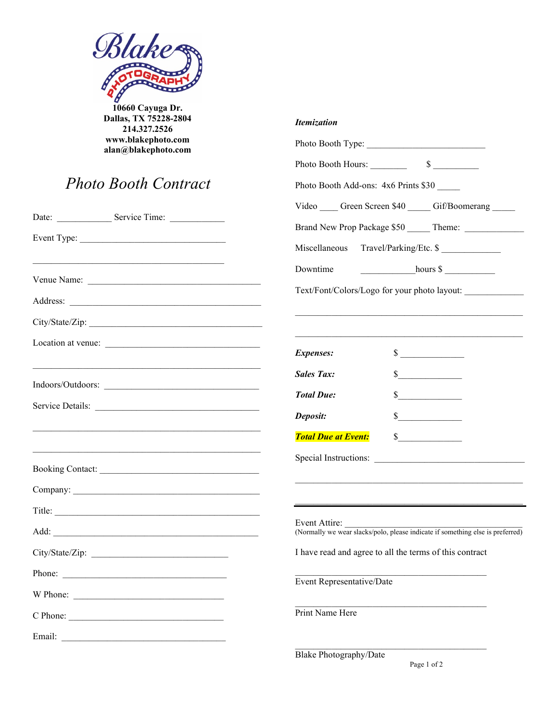

**10660 Cayuga Dr. Dallas, TX 75228-2804 214.327.2526 www.blakephoto.com alan@blakephoto.com**

## *Photo Booth Contract*

| <b>Photo Booth Contract</b>                                                                                           | Photo Booth Add-ons: 4x6 Prints \$30                                                            |
|-----------------------------------------------------------------------------------------------------------------------|-------------------------------------------------------------------------------------------------|
|                                                                                                                       | Video Creen Screen \$40 Gif/Boomerang                                                           |
|                                                                                                                       |                                                                                                 |
|                                                                                                                       | Miscellaneous Travel/Parking/Etc. \$                                                            |
|                                                                                                                       | $hours \$<br>Downtime                                                                           |
|                                                                                                                       | Text/Font/Colors/Logo for your photo layout:                                                    |
|                                                                                                                       |                                                                                                 |
| Location at venue:                                                                                                    | <b>Expenses:</b><br>$\sim$                                                                      |
| <u> 1989 - Johann Harry Harry Harry Harry Harry Harry Harry Harry Harry Harry Harry Harry Harry Harry Harry Harry</u> | s<br><b>Sales Tax:</b>                                                                          |
| Indoors/Outdoors:<br>Service Details:                                                                                 | <b>Total Due:</b><br>$\frac{\text{S}}{\text{S}}$                                                |
|                                                                                                                       | $\sim$<br>Deposit:                                                                              |
|                                                                                                                       | <b>Total Due at Event:</b><br>$\sim$                                                            |
|                                                                                                                       |                                                                                                 |
|                                                                                                                       |                                                                                                 |
| Title:                                                                                                                |                                                                                                 |
|                                                                                                                       | Event Attire:<br>(Normally we wear slacks/polo, please indicate if something else is preferred) |
|                                                                                                                       | I have read and agree to all the terms of this contract                                         |
| Phone:                                                                                                                | Event Representative/Date                                                                       |
| W Phone:                                                                                                              |                                                                                                 |
|                                                                                                                       | Print Name Here                                                                                 |
|                                                                                                                       |                                                                                                 |
|                                                                                                                       | <b>Blake Photography/Date</b>                                                                   |

*Itemization*

Photo Booth Type: \_\_\_\_\_\_\_\_\_\_\_\_\_\_\_\_\_\_\_\_\_\_\_\_\_\_

Photo Booth Hours: \_\_\_\_\_\_\_\_\_ \$ \_\_\_\_\_\_\_\_